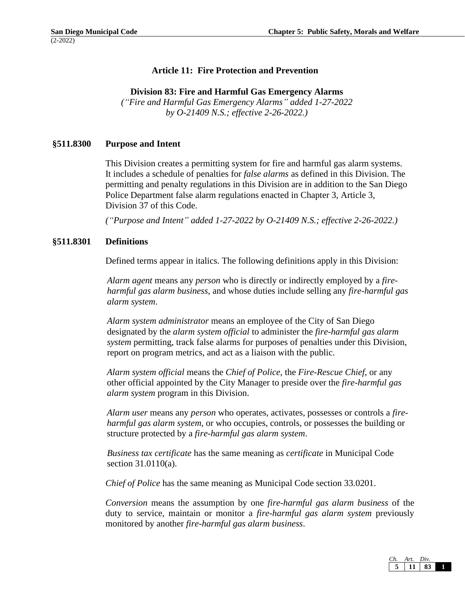# **Article 11: Fire Protection and Prevention**

### **Division 83: Fire and Harmful Gas Emergency Alarms**

*("Fire and Harmful Gas Emergency Alarms" added 1-27-2022 by O-21409 N.S.; effective 2-26-2022.)*

# **§511.8300 Purpose and Intent**

This Division creates a permitting system for fire and harmful gas alarm systems. It includes a schedule of penalties for *false alarms* as defined in this Division. The permitting and penalty regulations in this Division are in addition to the San Diego Police Department false alarm regulations enacted in Chapter 3, Article 3, Division 37 of this Code.

*("Purpose and Intent" added 1-27-2022 by O-21409 N.S.; effective 2-26-2022.)*

### **§511.8301 Definitions**

Defined terms appear in italics. The following definitions apply in this Division:

*Alarm agent* means any *person* who is directly or indirectly employed by a *fireharmful gas alarm business*, and whose duties include selling any *fire-harmful gas alarm system*.

*Alarm system administrator* means an employee of the City of San Diego designated by the *alarm system official* to administer the *fire-harmful gas alarm system* permitting, track false alarms for purposes of penalties under this Division, report on program metrics, and act as a liaison with the public.

*Alarm system official* means the *Chief of Police*, the *Fire-Rescue Chief*, or any other official appointed by the City Manager to preside over the *fire-harmful gas alarm system* program in this Division.

*Alarm user* means any *person* who operates, activates, possesses or controls a *fireharmful gas alarm system*, or who occupies, controls, or possesses the building or structure protected by a *fire-harmful gas alarm system*.

*Business tax certificate* has the same meaning as *certificate* in Municipal Code section 31.0110(a).

*Chief of Police* has the same meaning as Municipal Code section 33.0201.

*Conversion* means the assumption by one *fire-harmful gas alarm business* of the duty to service, maintain or monitor a *fire-harmful gas alarm system* previously monitored by another *fire-harmful gas alarm business*.

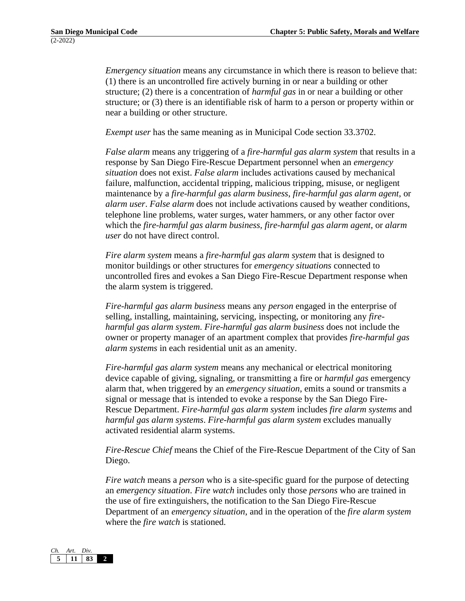*Emergency situation* means any circumstance in which there is reason to believe that: (1) there is an uncontrolled fire actively burning in or near a building or other structure; (2) there is a concentration of *harmful gas* in or near a building or other structure; or (3) there is an identifiable risk of harm to a person or property within or near a building or other structure.

*Exempt user* has the same meaning as in Municipal Code section 33.3702.

*False alarm* means any triggering of a *fire-harmful gas alarm system* that results in a response by San Diego Fire-Rescue Department personnel when an *emergency situation* does not exist. *False alarm* includes activations caused by mechanical failure, malfunction, accidental tripping, malicious tripping, misuse, or negligent maintenance by a *fire-harmful gas alarm business*, *fire-harmful gas alarm agent*, or *alarm user*. *False alarm* does not include activations caused by weather conditions, telephone line problems, water surges, water hammers, or any other factor over which the *fire-harmful gas alarm business, fire-harmful gas alarm agent*, or *alarm user* do not have direct control.

*Fire alarm system* means a *fire-harmful gas alarm system* that is designed to monitor buildings or other structures for *emergency situations* connected to uncontrolled fires and evokes a San Diego Fire-Rescue Department response when the alarm system is triggered.

*Fire-harmful gas alarm business* means any *person* engaged in the enterprise of selling, installing, maintaining, servicing, inspecting, or monitoring any *fireharmful gas alarm system*. *Fire-harmful gas alarm business* does not include the owner or property manager of an apartment complex that provides *fire-harmful gas alarm systems* in each residential unit as an amenity.

*Fire-harmful gas alarm system* means any mechanical or electrical monitoring device capable of giving, signaling, or transmitting a fire or *harmful gas* emergency alarm that, when triggered by an *emergency situation*, emits a sound or transmits a signal or message that is intended to evoke a response by the San Diego Fire-Rescue Department. *Fire-harmful gas alarm system* includes *fire alarm systems* and *harmful gas alarm systems*. *Fire-harmful gas alarm system* excludes manually activated residential alarm systems.

*Fire-Rescue Chief* means the Chief of the Fire-Rescue Department of the City of San Diego.

*Fire watch* means a *person* who is a site-specific guard for the purpose of detecting an *emergency situation*. *Fire watch* includes only those *persons* who are trained in the use of fire extinguishers, the notification to the San Diego Fire-Rescue Department of an *emergency situation*, and in the operation of the *fire alarm system*  where the *fire watch* is stationed.

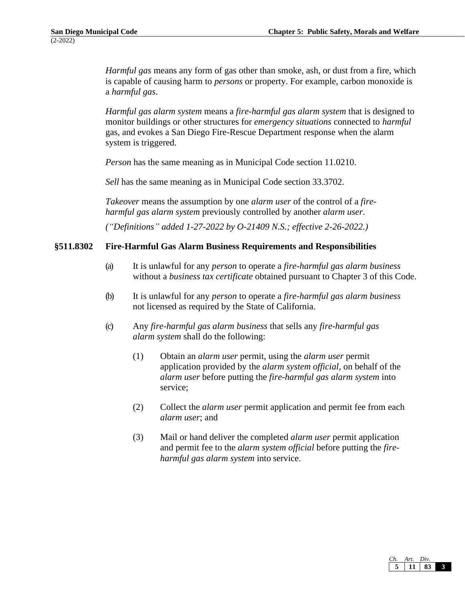*Harmful gas* means any form of gas other than smoke, ash, or dust from a fire, which is capable of causing harm to *persons* or property. For example, carbon monoxide is a *harmful gas*.

*Harmful gas alarm system* means a *fire-harmful gas alarm system* that is designed to monitor buildings or other structures for *emergency situations* connected to *harmful*  gas, and evokes a San Diego Fire-Rescue Department response when the alarm system is triggered.

*Person* has the same meaning as in Municipal Code section 11.0210.

*Sell* has the same meaning as in Municipal Code section 33.3702.

*Takeover* means the assumption by one *alarm user* of the control of a *fireharmful gas alarm system* previously controlled by another *alarm user*.

*("Definitions" added 1-27-2022 by O-21409 N.S.; effective 2-26-2022.)*

## **§511.8302 Fire-Harmful Gas Alarm Business Requirements and Responsibilities**

- (a) It is unlawful for any *person* to operate a *fire-harmful gas alarm business* without a *business tax certificate* obtained pursuant to Chapter 3 of this Code.
- (b) It is unlawful for any *person* to operate a *fire-harmful gas alarm business*  not licensed as required by the State of California.
- (c) Any *fire-harmful gas alarm business* that sells any *fire-harmful gas alarm system* shall do the following:
	- (1) Obtain an *alarm user* permit, using the *alarm user* permit application provided by the *alarm system official*, on behalf of the *alarm user* before putting the *fire-harmful gas alarm system* into service;
	- (2) Collect the *alarm user* permit application and permit fee from each *alarm user*; and
	- (3) Mail or hand deliver the completed *alarm user* permit application and permit fee to the *alarm system official* before putting the *fireharmful gas alarm system* into service.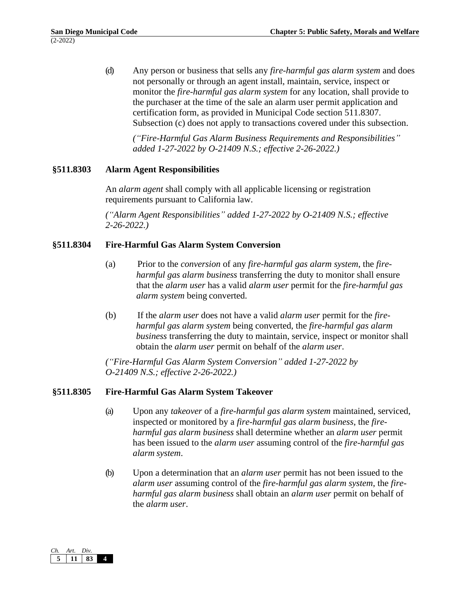(d) Any person or business that sells any *fire-harmful gas alarm system* and does not personally or through an agent install, maintain, service, inspect or monitor the *fire-harmful gas alarm system* for any location, shall provide to the purchaser at the time of the sale an alarm user permit application and certification form, as provided in Municipal Code section 511.8307. Subsection (c) does not apply to transactions covered under this subsection.

*("Fire-Harmful Gas Alarm Business Requirements and Responsibilities" added 1-27-2022 by O-21409 N.S.; effective 2-26-2022.)*

### **§511.8303 Alarm Agent Responsibilities**

An *alarm agent* shall comply with all applicable licensing or registration requirements pursuant to California law.

*("Alarm Agent Responsibilities" added 1-27-2022 by O-21409 N.S.; effective 2-26-2022.)*

## **§511.8304 Fire-Harmful Gas Alarm System Conversion**

- (a) Prior to the *conversion* of any *fire-harmful gas alarm system*, the *fireharmful gas alarm business* transferring the duty to monitor shall ensure that the *alarm user* has a valid *alarm user* permit for the *fire-harmful gas alarm system* being converted.
- (b) If the *alarm user* does not have a valid *alarm user* permit for the *fireharmful gas alarm system* being converted, the *fire-harmful gas alarm business* transferring the duty to maintain, service, inspect or monitor shall obtain the *alarm user* permit on behalf of the *alarm user*.

*("Fire-Harmful Gas Alarm System Conversion" added 1-27-2022 by O-21409 N.S.; effective 2-26-2022.)*

### **§511.8305 Fire-Harmful Gas Alarm System Takeover**

- (a) Upon any *takeover* of a *fire-harmful gas alarm system* maintained, serviced, inspected or monitored by a *fire-harmful gas alarm business*, the *fireharmful gas alarm business* shall determine whether an *alarm user* permit has been issued to the *alarm user* assuming control of the *fire-harmful gas alarm system*.
- (b) Upon a determination that an *alarm user* permit has not been issued to the *alarm user* assuming control of the *fire-harmful gas alarm system*, the *fireharmful gas alarm business* shall obtain an *alarm user* permit on behalf of the *alarm user*.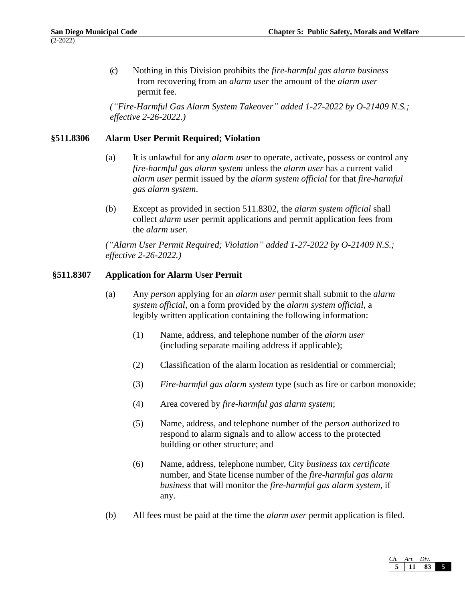(c) Nothing in this Division prohibits the *fire-harmful gas alarm business*  from recovering from an *alarm user* the amount of the *alarm user*  permit fee.

*("Fire-Harmful Gas Alarm System Takeover" added 1-27-2022 by O-21409 N.S.; effective 2-26-2022.)*

### **§511.8306 Alarm User Permit Required; Violation**

- (a) It is unlawful for any *alarm user* to operate, activate, possess or control any *fire-harmful gas alarm system* unless the *alarm user* has a current valid *alarm user* permit issued by the *alarm system official* for that *fire-harmful gas alarm system*.
- (b) Except as provided in section 511.8302, the *alarm system official* shall collect *alarm user* permit applications and permit application fees from the *alarm user.*

*("Alarm User Permit Required; Violation" added 1-27-2022 by O-21409 N.S.; effective 2-26-2022.)*

## **§511.8307 Application for Alarm User Permit**

- (a) Any *person* applying for an *alarm user* permit shall submit to the *alarm system official*, on a form provided by the *alarm system official*, a legibly written application containing the following information:
	- (1) Name, address, and telephone number of the *alarm user*  (including separate mailing address if applicable);
	- (2) Classification of the alarm location as residential or commercial;
	- (3) *Fire-harmful gas alarm system* type (such as fire or carbon monoxide;
	- (4) Area covered by *fire-harmful gas alarm system*;
	- (5) Name, address, and telephone number of the *person* authorized to respond to alarm signals and to allow access to the protected building or other structure; and
	- (6) Name, address, telephone number, City *business tax certificate*  number*,* and State license number of the *fire-harmful gas alarm business* that will monitor the *fire-harmful gas alarm system*, if any.
- (b) All fees must be paid at the time the *alarm user* permit application is filed.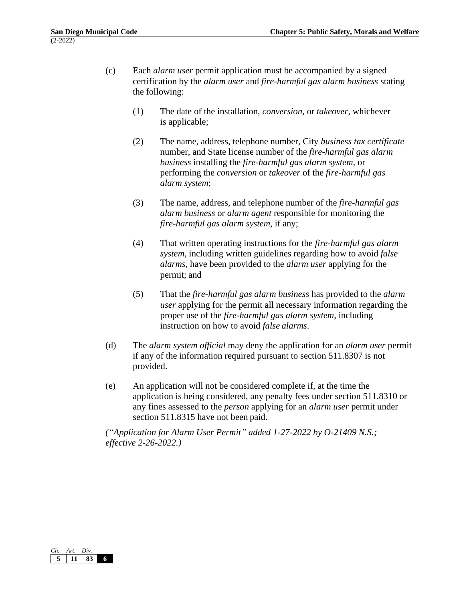- (c) Each *alarm user* permit application must be accompanied by a signed certification by the *alarm user* and *fire-harmful gas alarm business* stating the following:
	- (1) The date of the installation, *conversion*, or *takeover*, whichever is applicable;
	- (2) The name, address, telephone number, City *business tax certificate*  number, and State license number of the *fire-harmful gas alarm business* installing the *fire-harmful gas alarm system*, or performing the *conversion* or *takeover* of the *fire-harmful gas alarm system*;
	- (3) The name, address, and telephone number of the *fire-harmful gas alarm business* or *alarm agent* responsible for monitoring the *fire-harmful gas alarm system*, if any;
	- (4) That written operating instructions for the *fire-harmful gas alarm system*, including written guidelines regarding how to avoid *false alarms*, have been provided to the *alarm user* applying for the permit; and
	- (5) That the *fire-harmful gas alarm business* has provided to the *alarm user* applying for the permit all necessary information regarding the proper use of the *fire-harmful gas alarm system*, including instruction on how to avoid *false alarms*.
- (d) The *alarm system official* may deny the application for an *alarm user* permit if any of the information required pursuant to section 511.8307 is not provided.
- (e) An application will not be considered complete if, at the time the application is being considered, any penalty fees under section 511.8310 or any fines assessed to the *person* applying for an *alarm user* permit under section 511.8315 have not been paid.

*("Application for Alarm User Permit" added 1-27-2022 by O-21409 N.S.; effective 2-26-2022.)*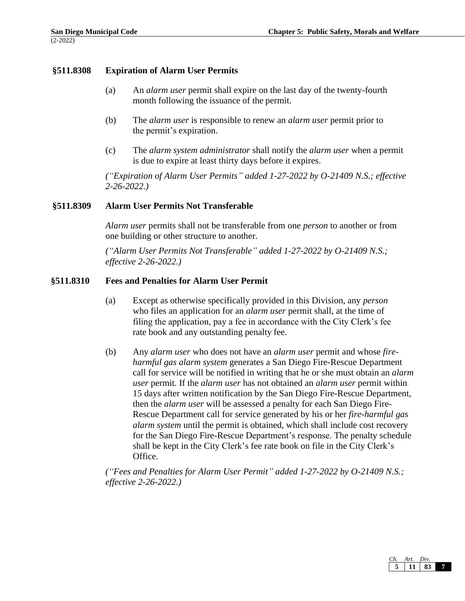### **§511.8308 Expiration of Alarm User Permits**

- (a) An *alarm user* permit shall expire on the last day of the twenty-fourth month following the issuance of the permit.
- (b) The *alarm user* is responsible to renew an *alarm user* permit prior to the permit's expiration.
- (c) The *alarm system administrator* shall notify the *alarm user* when a permit is due to expire at least thirty days before it expires.

*("Expiration of Alarm User Permits" added 1-27-2022 by O-21409 N.S.; effective 2-26-2022.)*

### **§511.8309 Alarm User Permits Not Transferable**

*Alarm user* permits shall not be transferable from one *person* to another or from one building or other structure to another.

*("Alarm User Permits Not Transferable" added 1-27-2022 by O-21409 N.S.; effective 2-26-2022.)*

#### **§511.8310 Fees and Penalties for Alarm User Permit**

- (a) Except as otherwise specifically provided in this Division, any *person*  who files an application for an *alarm user* permit shall, at the time of filing the application, pay a fee in accordance with the City Clerk's fee rate book and any outstanding penalty fee.
- (b) Any *alarm user* who does not have an *alarm user* permit and whose *fireharmful gas alarm system* generates a San Diego Fire-Rescue Department call for service will be notified in writing that he or she must obtain an *alarm user* permit. If the *alarm user* has not obtained an *alarm user* permit within 15 days after written notification by the San Diego Fire-Rescue Department, then the *alarm user* will be assessed a penalty for each San Diego Fire-Rescue Department call for service generated by his or her *fire-harmful gas alarm system* until the permit is obtained, which shall include cost recovery for the San Diego Fire-Rescue Department's response. The penalty schedule shall be kept in the City Clerk's fee rate book on file in the City Clerk's Office.

*("Fees and Penalties for Alarm User Permit" added 1-27-2022 by O-21409 N.S.; effective 2-26-2022.)*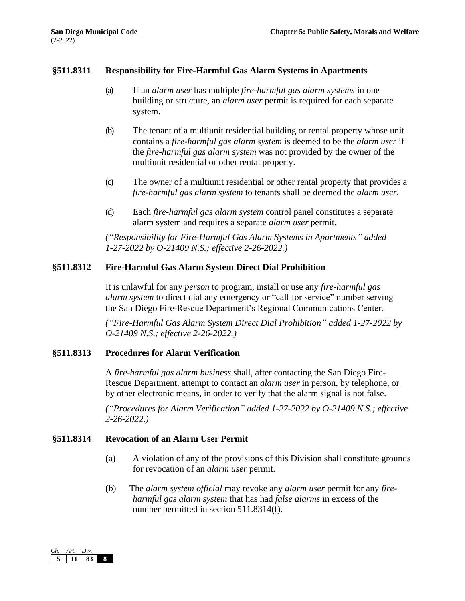### **§511.8311 Responsibility for Fire-Harmful Gas Alarm Systems in Apartments**

- (a) If an *alarm user* has multiple *fire-harmful gas alarm systems* in one building or structure, an *alarm user* permit is required for each separate system.
- (b) The tenant of a multiunit residential building or rental property whose unit contains a *fire-harmful gas alarm system* is deemed to be the *alarm user* if the *fire-harmful gas alarm system* was not provided by the owner of the multiunit residential or other rental property.
- (c) The owner of a multiunit residential or other rental property that provides a *fire-harmful gas alarm system* to tenants shall be deemed the *alarm user*.
- (d) Each *fire-harmful gas alarm system* control panel constitutes a separate alarm system and requires a separate *alarm user* permit.

*("Responsibility for Fire-Harmful Gas Alarm Systems in Apartments" added 1-27-2022 by O-21409 N.S.; effective 2-26-2022.)*

## **§511.8312 Fire-Harmful Gas Alarm System Direct Dial Prohibition**

It is unlawful for any *person* to program, install or use any *fire-harmful gas alarm system* to direct dial any emergency or "call for service" number serving the San Diego Fire-Rescue Department's Regional Communications Center.

*("Fire-Harmful Gas Alarm System Direct Dial Prohibition" added 1-27-2022 by O-21409 N.S.; effective 2-26-2022.)*

### **§511.8313 Procedures for Alarm Verification**

A *fire-harmful gas alarm business* shall, after contacting the San Diego Fire-Rescue Department, attempt to contact an *alarm user* in person, by telephone, or by other electronic means, in order to verify that the alarm signal is not false.

*("Procedures for Alarm Verification" added 1-27-2022 by O-21409 N.S.; effective 2-26-2022.)*

### **§511.8314 Revocation of an Alarm User Permit**

- (a) A violation of any of the provisions of this Division shall constitute grounds for revocation of an *alarm user* permit.
- (b) The *alarm system official* may revoke any *alarm user* permit for any *fireharmful gas alarm system* that has had *false alarms* in excess of the number permitted in section 511.8314(f).

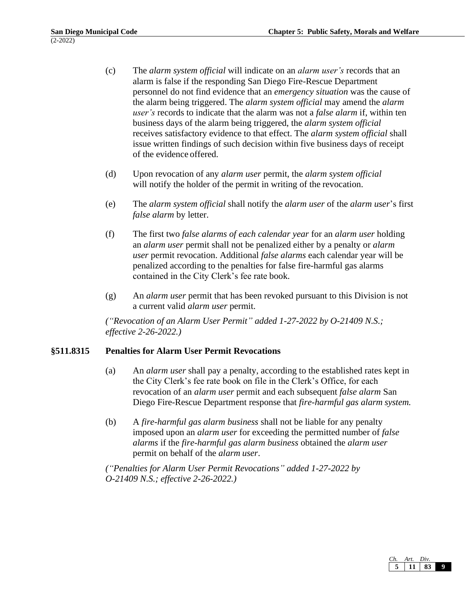- (c) The *alarm system official* will indicate on an *alarm user's* records that an alarm is false if the responding San Diego Fire-Rescue Department personnel do not find evidence that an *emergency situation* was the cause of the alarm being triggered. The *alarm system official* may amend the *alarm user's* records to indicate that the alarm was not a *false alarm* if, within ten business days of the alarm being triggered, the *alarm system official*  receives satisfactory evidence to that effect. The *alarm system official* shall issue written findings of such decision within five business days of receipt of the evidence offered.
- (d) Upon revocation of any *alarm user* permit, the *alarm system official*  will notify the holder of the permit in writing of the revocation.
- (e) The *alarm system official* shall notify the *alarm user* of the *alarm user*'s first *false alarm* by letter.
- (f) The first two *false alarms of each calendar year* for an *alarm user* holding an *alarm user* permit shall not be penalized either by a penalty or *alarm user* permit revocation. Additional *false alarms* each calendar year will be penalized according to the penalties for false fire-harmful gas alarms contained in the City Clerk's fee rate book.
- (g) An *alarm user* permit that has been revoked pursuant to this Division is not a current valid *alarm user* permit.

*("Revocation of an Alarm User Permit" added 1-27-2022 by O-21409 N.S.; effective 2-26-2022.)*

### **§511.8315 Penalties for Alarm User Permit Revocations**

- (a) An *alarm user* shall pay a penalty, according to the established rates kept in the City Clerk's fee rate book on file in the Clerk's Office, for each revocation of an *alarm user* permit and each subsequent *false alarm* San Diego Fire-Rescue Department response that *fire-harmful gas alarm system.*
- (b) A *fire-harmful gas alarm business* shall not be liable for any penalty imposed upon an *alarm user* for exceeding the permitted number of *false alarms* if the *fire-harmful gas alarm business* obtained the *alarm user*  permit on behalf of the *alarm user*.

*("Penalties for Alarm User Permit Revocations" added 1-27-2022 by O-21409 N.S.; effective 2-26-2022.)*

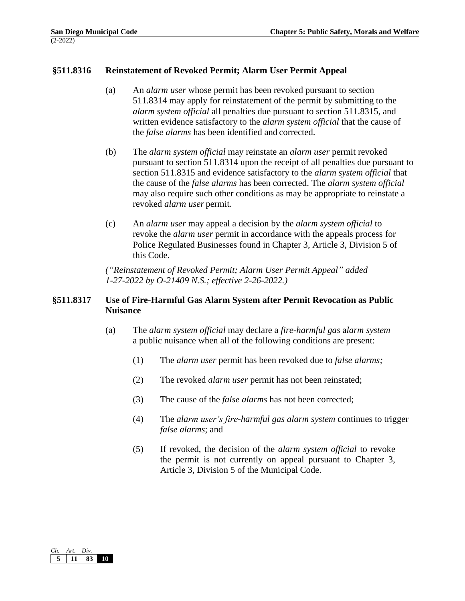### **§511.8316 Reinstatement of Revoked Permit; Alarm User Permit Appeal**

- (a) An *alarm user* whose permit has been revoked pursuant to section 511.8314 may apply for reinstatement of the permit by submitting to the *alarm system official* all penalties due pursuant to section 511.8315, and written evidence satisfactory to the *alarm system official* that the cause of the *false alarms* has been identified and corrected.
- (b) The *alarm system official* may reinstate an *alarm user* permit revoked pursuant to section 511.8314 upon the receipt of all penalties due pursuant to section 511.8315 and evidence satisfactory to the *alarm system official* that the cause of the *false alarms* has been corrected. The *alarm system official*  may also require such other conditions as may be appropriate to reinstate a revoked *alarm user* permit.
- (c) An *alarm user* may appeal a decision by the *alarm system official* to revoke the *alarm user* permit in accordance with the appeals process for Police Regulated Businesses found in Chapter 3, Article 3, Division 5 of this Code.

*("Reinstatement of Revoked Permit; Alarm User Permit Appeal" added 1-27-2022 by O-21409 N.S.; effective 2-26-2022.)*

#### **§511.8317 Use of Fire-Harmful Gas Alarm System after Permit Revocation as Public Nuisance**

- (a) The *alarm system official* may declare a *fire-harmful gas* a*larm system*  a public nuisance when all of the following conditions are present:
	- (1) The *alarm user* permit has been revoked due to *false alarms;*
	- (2) The revoked *alarm user* permit has not been reinstated;
	- (3) The cause of the *false alarms* has not been corrected;
	- (4) The *alarm user's fire-harmful gas alarm system* continues to trigger *false alarms*; and
	- (5) If revoked, the decision of the *alarm system official* to revoke the permit is not currently on appeal pursuant to Chapter 3, Article 3, Division 5 of the Municipal Code.

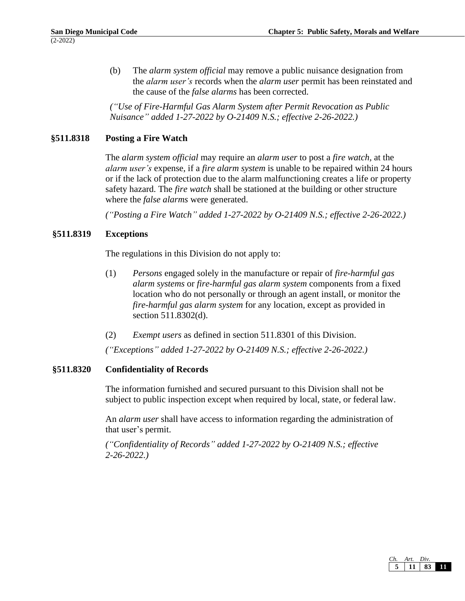(b) The *alarm system official* may remove a public nuisance designation from the *alarm user's* records when the *alarm user* permit has been reinstated and the cause of the *false alarms* has been corrected.

*("Use of Fire-Harmful Gas Alarm System after Permit Revocation as Public Nuisance" added 1-27-2022 by O-21409 N.S.; effective 2-26-2022.)*

# **§511.8318 Posting a Fire Watch**

The *alarm system official* may require an *alarm user* to post a *fire watch,* at the *alarm user's* expense, if a *fire alarm system* is unable to be repaired within 24 hours or if the lack of protection due to the alarm malfunctioning creates a life or property safety hazard. The *fire watch* shall be stationed at the building or other structure where the *false alarms* were generated.

*("Posting a Fire Watch" added 1-27-2022 by O-21409 N.S.; effective 2-26-2022.)*

### **§511.8319 Exceptions**

The regulations in this Division do not apply to:

- (1) *Persons* engaged solely in the manufacture or repair of *fire-harmful gas alarm systems* or *fire-harmful gas alarm system* components from a fixed location who do not personally or through an agent install, or monitor the *fire-harmful gas alarm system* for any location, except as provided in section 511.8302(d).
- (2) *Exempt users* as defined in section 511.8301 of this Division.

*("Exceptions" added 1-27-2022 by O-21409 N.S.; effective 2-26-2022.)*

### **§511.8320 Confidentiality of Records**

The information furnished and secured pursuant to this Division shall not be subject to public inspection except when required by local, state, or federal law.

An *alarm user* shall have access to information regarding the administration of that user's permit.

*("Confidentiality of Records" added 1-27-2022 by O-21409 N.S.; effective 2-26-2022.)*